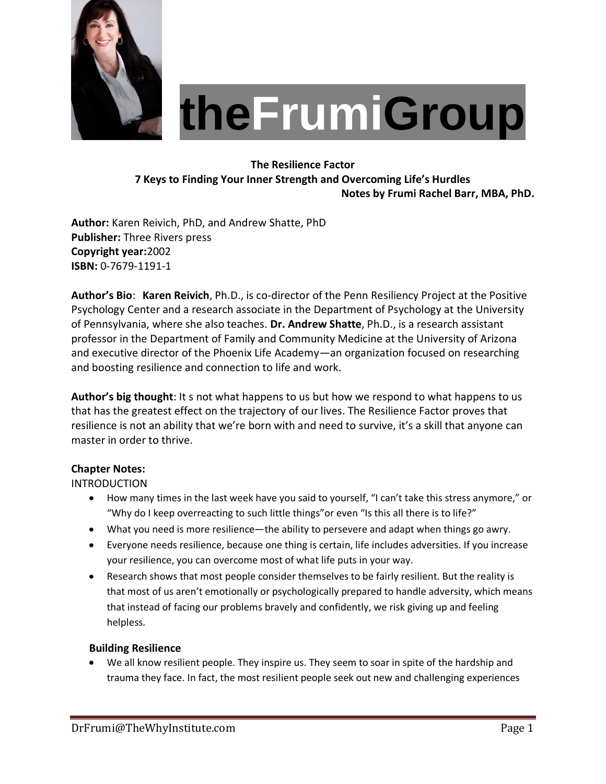

# **theFrumiGroup**

# **The Resilience Factor 7 Keys to Finding Your Inner Strength and Overcoming Life's Hurdles Notes by Frumi Rachel Barr, MBA, PhD.**

**Author:** Karen Reivich, PhD, and Andrew Shatte, PhD **Publisher:** Three Rivers press **Copyright year:**2002 **ISBN:** 0-7679-1191-1

**Author's Bio**: **Karen Reivich**, Ph.D., is co-director of the Penn Resiliency Project at the Positive Psychology Center and a research associate in the Department of Psychology at the University of Pennsylvania, where she also teaches. **Dr. Andrew Shatte**, Ph.D., is a research assistant professor in the Department of Family and Community Medicine at the University of Arizona and executive director of the Phoenix Life Academy—an organization focused on researching and boosting resilience and connection to life and work.

**Author's big thought**: It s not what happens to us but how we respond to what happens to us that has the greatest effect on the trajectory of our lives. The Resilience Factor proves that resilience is not an ability that we're born with and need to survive, it's a skill that anyone can master in order to thrive.

# **Chapter Notes:**

INTRODUCTION

- How many times in the last week have you said to yourself, "I can't take this stress anymore," or "Why do I keep overreacting to such little things"or even "Is this all there is to life?"
- What you need is more resilience—the ability to persevere and adapt when things go awry.
- Everyone needs resilience, because one thing is certain, life includes adversities. If you increase your resilience, you can overcome most of what life puts in your way.
- Research shows that most people consider themselves to be fairly resilient. But the reality is that most of us aren't emotionally or psychologically prepared to handle adversity, which means that instead of facing our problems bravely and confidently, we risk giving up and feeling helpless.

# **Building Resilience**

We all know resilient people. They inspire us. They seem to soar in spite of the hardship and trauma they face. In fact, the most resilient people seek out new and challenging experiences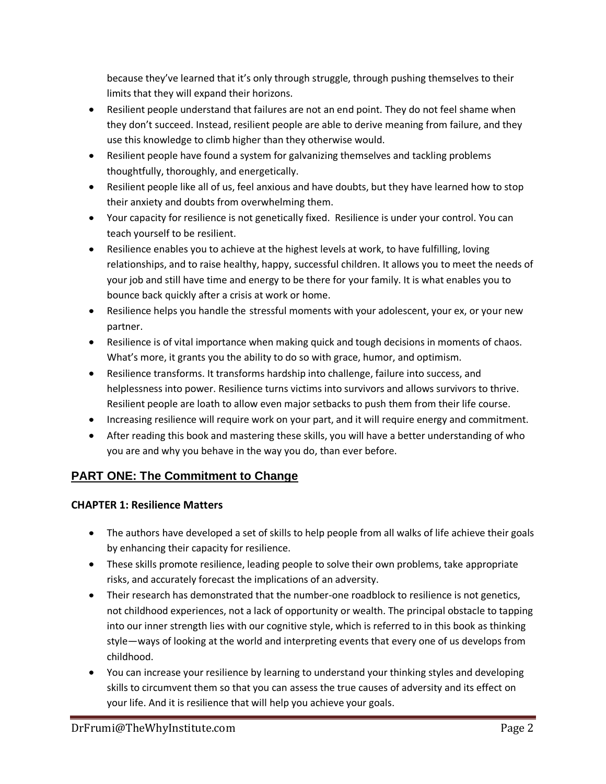because they've learned that it's only through struggle, through pushing themselves to their limits that they will expand their horizons.

- Resilient people understand that failures are not an end point. They do not feel shame when they don't succeed. Instead, resilient people are able to derive meaning from failure, and they use this knowledge to climb higher than they otherwise would.
- Resilient people have found a system for galvanizing themselves and tackling problems thoughtfully, thoroughly, and energetically.
- Resilient people like all of us, feel anxious and have doubts, but they have learned how to stop their anxiety and doubts from overwhelming them.
- Your capacity for resilience is not genetically fixed. Resilience is under your control. You can teach yourself to be resilient.
- Resilience enables you to achieve at the highest levels at work, to have fulfilling, loving relationships, and to raise healthy, happy, successful children. It allows you to meet the needs of your job and still have time and energy to be there for your family. It is what enables you to bounce back quickly after a crisis at work or home.
- Resilience helps you handle the stressful moments with your adolescent, your ex, or your new partner.
- Resilience is of vital importance when making quick and tough decisions in moments of chaos. What's more, it grants you the ability to do so with grace, humor, and optimism.
- Resilience transforms. It transforms hardship into challenge, failure into success, and helplessness into power. Resilience turns victims into survivors and allows survivors to thrive. Resilient people are loath to allow even major setbacks to push them from their life course.
- Increasing resilience will require work on your part, and it will require energy and commitment.
- After reading this book and mastering these skills, you will have a better understanding of who you are and why you behave in the way you do, than ever before.

# **PART ONE: The Commitment to Change**

# **CHAPTER 1: Resilience Matters**

- The authors have developed a set of skills to help people from all walks of life achieve their goals by enhancing their capacity for resilience.
- These skills promote resilience, leading people to solve their own problems, take appropriate risks, and accurately forecast the implications of an adversity.
- Their research has demonstrated that the number-one roadblock to resilience is not genetics, not childhood experiences, not a lack of opportunity or wealth. The principal obstacle to tapping into our inner strength lies with our cognitive style, which is referred to in this book as thinking style—ways of looking at the world and interpreting events that every one of us develops from childhood.
- You can increase your resilience by learning to understand your thinking styles and developing skills to circumvent them so that you can assess the true causes of adversity and its effect on your life. And it is resilience that will help you achieve your goals.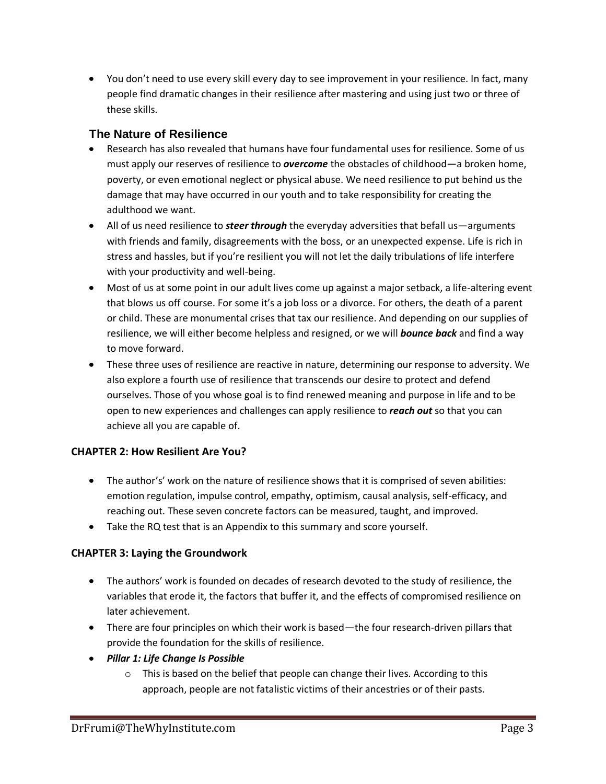You don't need to use every skill every day to see improvement in your resilience. In fact, many people find dramatic changes in their resilience after mastering and using just two or three of these skills.

# **The Nature of Resilience**

- Research has also revealed that humans have four fundamental uses for resilience. Some of us must apply our reserves of resilience to *overcome* the obstacles of childhood—a broken home, poverty, or even emotional neglect or physical abuse. We need resilience to put behind us the damage that may have occurred in our youth and to take responsibility for creating the adulthood we want.
- All of us need resilience to *steer through* the everyday adversities that befall us—arguments with friends and family, disagreements with the boss, or an unexpected expense. Life is rich in stress and hassles, but if you're resilient you will not let the daily tribulations of life interfere with your productivity and well-being.
- Most of us at some point in our adult lives come up against a major setback, a life-altering event that blows us off course. For some it's a job loss or a divorce. For others, the death of a parent or child. These are monumental crises that tax our resilience. And depending on our supplies of resilience, we will either become helpless and resigned, or we will *bounce back* and find a way to move forward.
- These three uses of resilience are reactive in nature, determining our response to adversity. We also explore a fourth use of resilience that transcends our desire to protect and defend ourselves. Those of you whose goal is to find renewed meaning and purpose in life and to be open to new experiences and challenges can apply resilience to *reach out* so that you can achieve all you are capable of.

# **CHAPTER 2: How Resilient Are You?**

- The author's' work on the nature of resilience shows that it is comprised of seven abilities: emotion regulation, impulse control, empathy, optimism, causal analysis, self-efficacy, and reaching out. These seven concrete factors can be measured, taught, and improved.
- Take the RQ test that is an Appendix to this summary and score yourself.

# **CHAPTER 3: Laying the Groundwork**

- The authors' work is founded on decades of research devoted to the study of resilience, the variables that erode it, the factors that buffer it, and the effects of compromised resilience on later achievement.
- There are four principles on which their work is based—the four research-driven pillars that provide the foundation for the skills of resilience.
- *Pillar 1: Life Change Is Possible*
	- o This is based on the belief that people can change their lives. According to this approach, people are not fatalistic victims of their ancestries or of their pasts.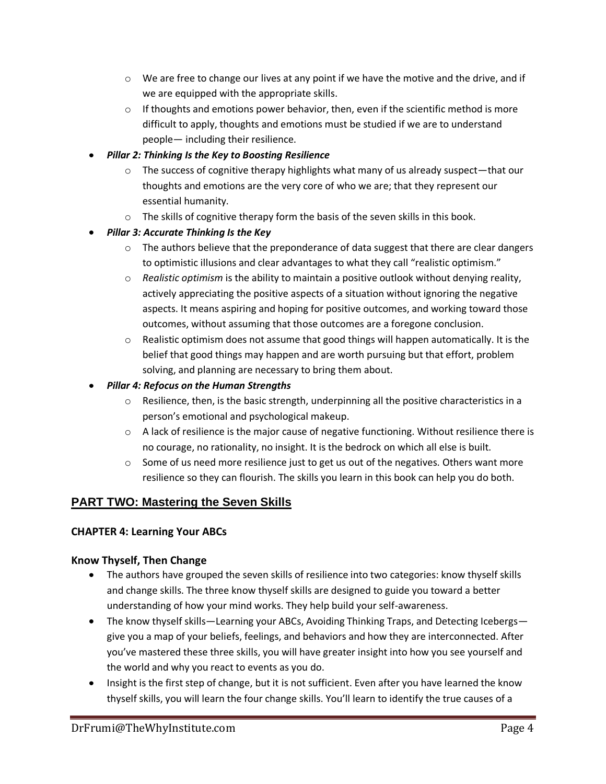- $\circ$  We are free to change our lives at any point if we have the motive and the drive, and if we are equipped with the appropriate skills.
- $\circ$  If thoughts and emotions power behavior, then, even if the scientific method is more difficult to apply, thoughts and emotions must be studied if we are to understand people— including their resilience.
- *Pillar 2: Thinking Is the Key to Boosting Resilience* 
	- $\circ$  The success of cognitive therapy highlights what many of us already suspect—that our thoughts and emotions are the very core of who we are; that they represent our essential humanity.
	- $\circ$  The skills of cognitive therapy form the basis of the seven skills in this book.

# *Pillar 3: Accurate Thinking Is the Key*

- $\circ$  The authors believe that the preponderance of data suggest that there are clear dangers to optimistic illusions and clear advantages to what they call "realistic optimism."
- o *Realistic optimism* is the ability to maintain a positive outlook without denying reality, actively appreciating the positive aspects of a situation without ignoring the negative aspects. It means aspiring and hoping for positive outcomes, and working toward those outcomes, without assuming that those outcomes are a foregone conclusion.
- $\circ$  Realistic optimism does not assume that good things will happen automatically. It is the belief that good things may happen and are worth pursuing but that effort, problem solving, and planning are necessary to bring them about.

# *Pillar 4: Refocus on the Human Strengths*

- $\circ$  Resilience, then, is the basic strength, underpinning all the positive characteristics in a person's emotional and psychological makeup.
- $\circ$  A lack of resilience is the major cause of negative functioning. Without resilience there is no courage, no rationality, no insight. It is the bedrock on which all else is built.
- $\circ$  Some of us need more resilience just to get us out of the negatives. Others want more resilience so they can flourish. The skills you learn in this book can help you do both.

# **PART TWO: Mastering the Seven Skills**

# **CHAPTER 4: Learning Your ABCs**

# **Know Thyself, Then Change**

- The authors have grouped the seven skills of resilience into two categories: know thyself skills and change skills. The three know thyself skills are designed to guide you toward a better understanding of how your mind works. They help build your self-awareness.
- The know thyself skills—Learning your ABCs, Avoiding Thinking Traps, and Detecting Icebergs give you a map of your beliefs, feelings, and behaviors and how they are interconnected. After you've mastered these three skills, you will have greater insight into how you see yourself and the world and why you react to events as you do.
- Insight is the first step of change, but it is not sufficient. Even after you have learned the know thyself skills, you will learn the four change skills. You'll learn to identify the true causes of a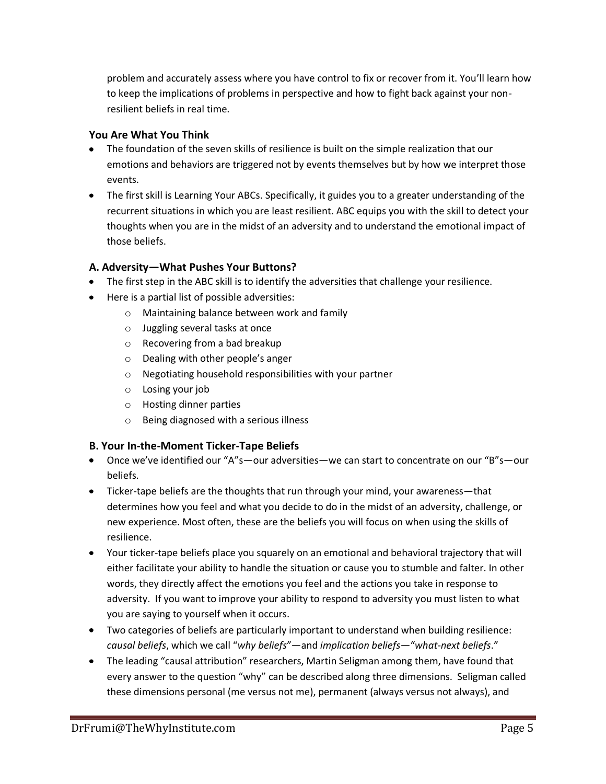problem and accurately assess where you have control to fix or recover from it. You'll learn how to keep the implications of problems in perspective and how to fight back against your nonresilient beliefs in real time.

# **You Are What You Think**

- The foundation of the seven skills of resilience is built on the simple realization that our emotions and behaviors are triggered not by events themselves but by how we interpret those events.
- The first skill is Learning Your ABCs. Specifically, it guides you to a greater understanding of the recurrent situations in which you are least resilient. ABC equips you with the skill to detect your thoughts when you are in the midst of an adversity and to understand the emotional impact of those beliefs.

#### **A. Adversity—What Pushes Your Buttons?**

- The first step in the ABC skill is to identify the adversities that challenge your resilience.
- Here is a partial list of possible adversities:
	- o Maintaining balance between work and family
	- o Juggling several tasks at once
	- o Recovering from a bad breakup
	- o Dealing with other people's anger
	- o Negotiating household responsibilities with your partner
	- o Losing your job
	- o Hosting dinner parties
	- o Being diagnosed with a serious illness

#### **B. Your In-the-Moment Ticker-Tape Beliefs**

- Once we've identified our "A"s—our adversities—we can start to concentrate on our "B"s—our beliefs.
- Ticker-tape beliefs are the thoughts that run through your mind, your awareness—that determines how you feel and what you decide to do in the midst of an adversity, challenge, or new experience. Most often, these are the beliefs you will focus on when using the skills of resilience.
- Your ticker-tape beliefs place you squarely on an emotional and behavioral trajectory that will either facilitate your ability to handle the situation or cause you to stumble and falter. In other words, they directly affect the emotions you feel and the actions you take in response to adversity. If you want to improve your ability to respond to adversity you must listen to what you are saying to yourself when it occurs.
- Two categories of beliefs are particularly important to understand when building resilience: *causal beliefs*, which we call "*why beliefs*"—and *implication beliefs*—"*what-next beliefs*."
- The leading "causal attribution" researchers, Martin Seligman among them, have found that every answer to the question "why" can be described along three dimensions. Seligman called these dimensions personal (me versus not me), permanent (always versus not always), and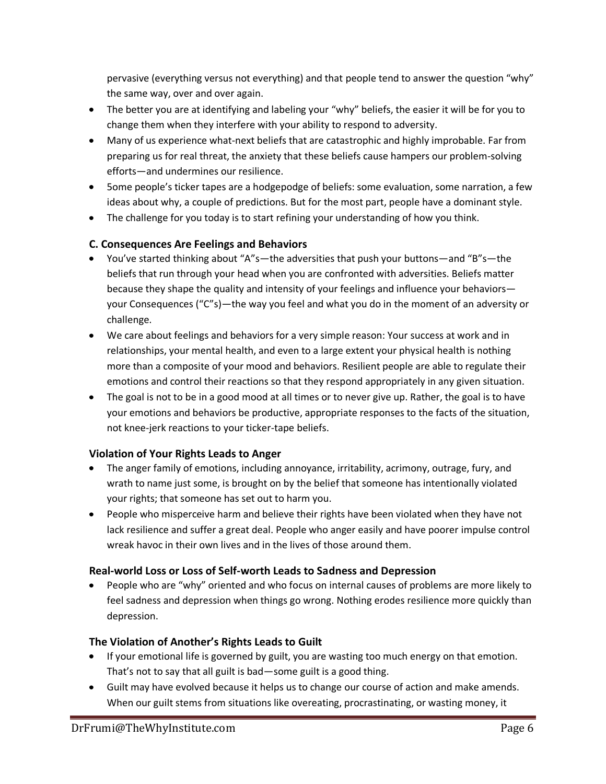pervasive (everything versus not everything) and that people tend to answer the question "why" the same way, over and over again.

- The better you are at identifying and labeling your "why" beliefs, the easier it will be for you to change them when they interfere with your ability to respond to adversity.
- Many of us experience what-next beliefs that are catastrophic and highly improbable. Far from preparing us for real threat, the anxiety that these beliefs cause hampers our problem-solving efforts—and undermines our resilience.
- 5ome people's ticker tapes are a hodgepodge of beliefs: some evaluation, some narration, a few ideas about why, a couple of predictions. But for the most part, people have a dominant style.
- The challenge for you today is to start refining your understanding of how you think.

# **C. Consequences Are Feelings and Behaviors**

- You've started thinking about "A"s—the adversities that push your buttons—and "B"s—the beliefs that run through your head when you are confronted with adversities. Beliefs matter because they shape the quality and intensity of your feelings and influence your behaviors your Consequences ("C"s)—the way you feel and what you do in the moment of an adversity or challenge.
- We care about feelings and behaviors for a very simple reason: Your success at work and in relationships, your mental health, and even to a large extent your physical health is nothing more than a composite of your mood and behaviors. Resilient people are able to regulate their emotions and control their reactions so that they respond appropriately in any given situation.
- The goal is not to be in a good mood at all times or to never give up. Rather, the goal is to have your emotions and behaviors be productive, appropriate responses to the facts of the situation, not knee-jerk reactions to your ticker-tape beliefs.

# **Violation of Your Rights Leads to Anger**

- The anger family of emotions, including annoyance, irritability, acrimony, outrage, fury, and wrath to name just some, is brought on by the belief that someone has intentionally violated your rights; that someone has set out to harm you.
- People who misperceive harm and believe their rights have been violated when they have not lack resilience and suffer a great deal. People who anger easily and have poorer impulse control wreak havoc in their own lives and in the lives of those around them.

# **Real-world Loss or Loss of Self-worth Leads to Sadness and Depression**

People who are "why" oriented and who focus on internal causes of problems are more likely to feel sadness and depression when things go wrong. Nothing erodes resilience more quickly than depression.

# **The Violation of Another's Rights Leads to Guilt**

- If your emotional life is governed by guilt, you are wasting too much energy on that emotion. That's not to say that all guilt is bad—some guilt is a good thing.
- Guilt may have evolved because it helps us to change our course of action and make amends. When our guilt stems from situations like overeating, procrastinating, or wasting money, it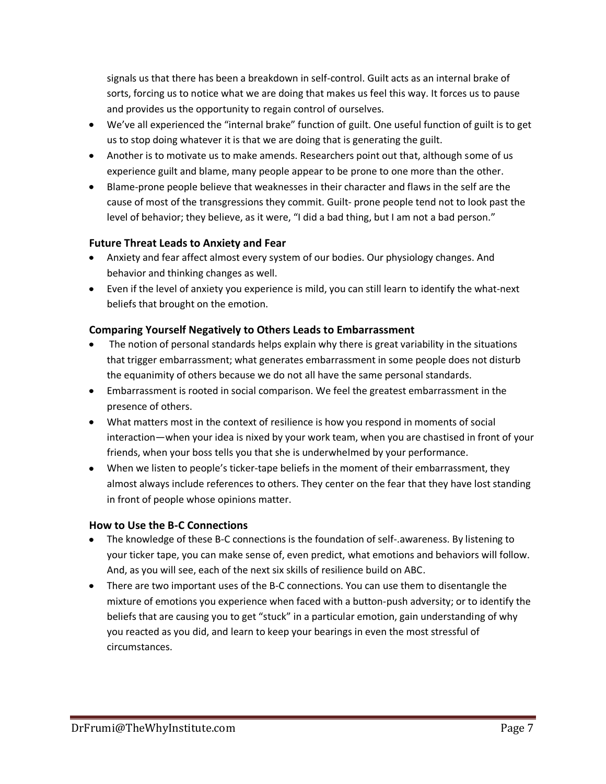signals us that there has been a breakdown in self-control. Guilt acts as an internal brake of sorts, forcing us to notice what we are doing that makes us feel this way. It forces us to pause and provides us the opportunity to regain control of ourselves.

- We've all experienced the "internal brake" function of guilt. One useful function of guilt is to get us to stop doing whatever it is that we are doing that is generating the guilt.
- Another is to motivate us to make amends. Researchers point out that, although some of us experience guilt and blame, many people appear to be prone to one more than the other.
- Blame-prone people believe that weaknesses in their character and flaws in the self are the cause of most of the transgressions they commit. Guilt- prone people tend not to look past the level of behavior; they believe, as it were, "I did a bad thing, but I am not a bad person."

#### **Future Threat Leads to Anxiety and Fear**

- Anxiety and fear affect almost every system of our bodies. Our physiology changes. And behavior and thinking changes as well.
- Even if the level of anxiety you experience is mild, you can still learn to identify the what-next beliefs that brought on the emotion.

#### **Comparing Yourself Negatively to Others Leads to Embarrassment**

- The notion of personal standards helps explain why there is great variability in the situations that trigger embarrassment; what generates embarrassment in some people does not disturb the equanimity of others because we do not all have the same personal standards.
- Embarrassment is rooted in social comparison. We feel the greatest embarrassment in the presence of others.
- What matters most in the context of resilience is how you respond in moments of social interaction—when your idea is nixed by your work team, when you are chastised in front of your friends, when your boss tells you that she is underwhelmed by your performance.
- When we listen to people's ticker-tape beliefs in the moment of their embarrassment, they almost always include references to others. They center on the fear that they have lost standing in front of people whose opinions matter.

#### **How to Use the B-C Connections**

- The knowledge of these B-C connections is the foundation of self-.awareness. By listening to your ticker tape, you can make sense of, even predict, what emotions and behaviors will follow. And, as you will see, each of the next six skills of resilience build on ABC.
- There are two important uses of the B-C connections. You can use them to disentangle the mixture of emotions you experience when faced with a button-push adversity; or to identify the beliefs that are causing you to get "stuck" in a particular emotion, gain understanding of why you reacted as you did, and learn to keep your bearings in even the most stressful of circumstances.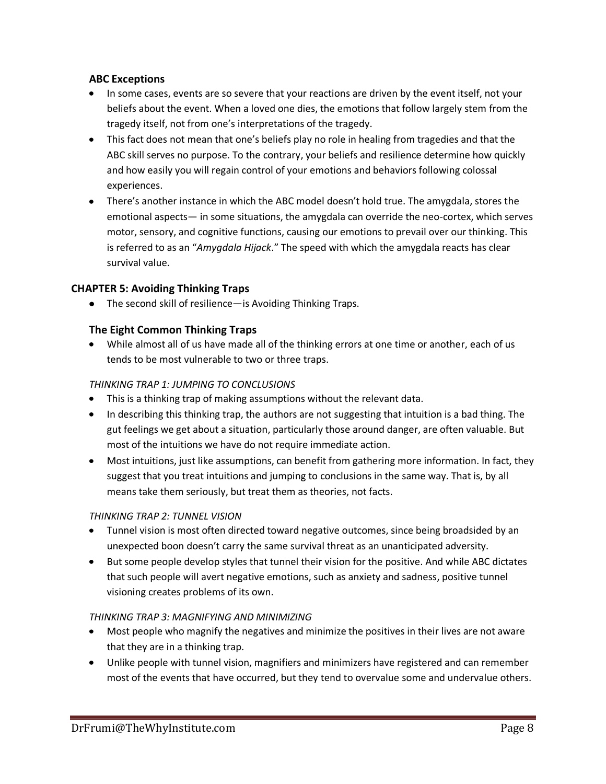#### **ABC Exceptions**

- In some cases, events are so severe that your reactions are driven by the event itself, not your beliefs about the event. When a loved one dies, the emotions that follow largely stem from the tragedy itself, not from one's interpretations of the tragedy.
- This fact does not mean that one's beliefs play no role in healing from tragedies and that the ABC skill serves no purpose. To the contrary, your beliefs and resilience determine how quickly and how easily you will regain control of your emotions and behaviors following colossal experiences.
- There's another instance in which the ABC model doesn't hold true. The amygdala, stores the emotional aspects— in some situations, the amygdala can override the neo-cortex, which serves motor, sensory, and cognitive functions, causing our emotions to prevail over our thinking. This is referred to as an "*Amygdala Hijack*." The speed with which the amygdala reacts has clear survival value.

#### **CHAPTER 5: Avoiding Thinking Traps**

The second skill of resilience—is Avoiding Thinking Traps.

#### **The Eight Common Thinking Traps**

While almost all of us have made all of the thinking errors at one time or another, each of us tends to be most vulnerable to two or three traps.

#### *THINKING TRAP 1: JUMPING TO CONCLUSIONS*

- This is a thinking trap of making assumptions without the relevant data.
- In describing this thinking trap, the authors are not suggesting that intuition is a bad thing. The gut feelings we get about a situation, particularly those around danger, are often valuable. But most of the intuitions we have do not require immediate action.
- Most intuitions, just like assumptions, can benefit from gathering more information. In fact, they suggest that you treat intuitions and jumping to conclusions in the same way. That is, by all means take them seriously, but treat them as theories, not facts.

#### *THINKING TRAP 2: TUNNEL VISION*

- Tunnel vision is most often directed toward negative outcomes, since being broadsided by an unexpected boon doesn't carry the same survival threat as an unanticipated adversity.
- But some people develop styles that tunnel their vision for the positive. And while ABC dictates that such people will avert negative emotions, such as anxiety and sadness, positive tunnel visioning creates problems of its own.

#### *THINKING TRAP 3: MAGNIFYING AND MINIMIZING*

- Most people who magnify the negatives and minimize the positives in their lives are not aware that they are in a thinking trap.
- Unlike people with tunnel vision, magnifiers and minimizers have registered and can remember most of the events that have occurred, but they tend to overvalue some and undervalue others.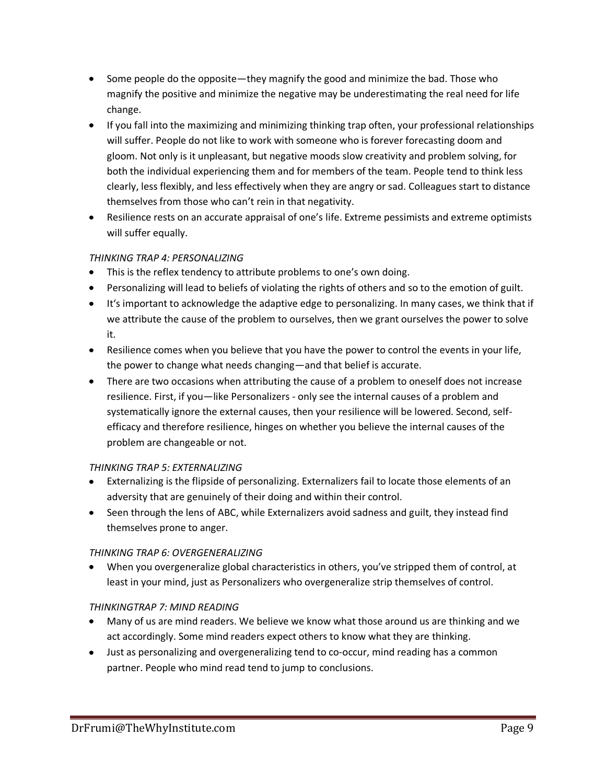- Some people do the opposite—they magnify the good and minimize the bad. Those who magnify the positive and minimize the negative may be underestimating the real need for life change.
- If you fall into the maximizing and minimizing thinking trap often, your professional relationships will suffer. People do not like to work with someone who is forever forecasting doom and gloom. Not only is it unpleasant, but negative moods slow creativity and problem solving, for both the individual experiencing them and for members of the team. People tend to think less clearly, less flexibly, and less effectively when they are angry or sad. Colleagues start to distance themselves from those who can't rein in that negativity.
- Resilience rests on an accurate appraisal of one's life. Extreme pessimists and extreme optimists will suffer equally.

# *THINKING TRAP 4: PERSONALIZING*

- This is the reflex tendency to attribute problems to one's own doing.
- Personalizing will lead to beliefs of violating the rights of others and so to the emotion of guilt.
- It's important to acknowledge the adaptive edge to personalizing. In many cases, we think that if we attribute the cause of the problem to ourselves, then we grant ourselves the power to solve it.
- Resilience comes when you believe that you have the power to control the events in your life, the power to change what needs changing—and that belief is accurate.
- There are two occasions when attributing the cause of a problem to oneself does not increase resilience. First, if you—like Personalizers - only see the internal causes of a problem and systematically ignore the external causes, then your resilience will be lowered. Second, selfefficacy and therefore resilience, hinges on whether you believe the internal causes of the problem are changeable or not.

# *THINKING TRAP 5: EXTERNALIZING*

- Externalizing is the flipside of personalizing. Externalizers fail to locate those elements of an adversity that are genuinely of their doing and within their control.
- Seen through the lens of ABC, while Externalizers avoid sadness and guilt, they instead find themselves prone to anger.

# *THINKING TRAP 6: OVERGENERALIZING*

When you overgeneralize global characteristics in others, you've stripped them of control, at least in your mind, just as Personalizers who overgeneralize strip themselves of control.

# *THINKINGTRAP 7: MIND READING*

- Many of us are mind readers. We believe we know what those around us are thinking and we act accordingly. Some mind readers expect others to know what they are thinking.
- Just as personalizing and overgeneralizing tend to co-occur, mind reading has a common partner. People who mind read tend to jump to conclusions.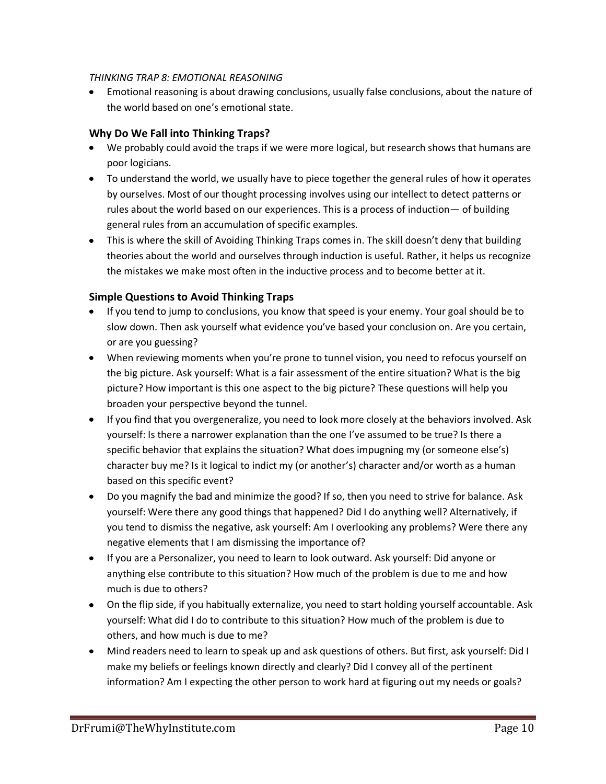#### *THINKING TRAP 8: EMOTIONAL REASONING*

Emotional reasoning is about drawing conclusions, usually false conclusions, about the nature of the world based on one's emotional state.

# **Why Do We Fall into Thinking Traps?**

- We probably could avoid the traps if we were more logical, but research shows that humans are poor logicians.
- To understand the world, we usually have to piece together the general rules of how it operates by ourselves. Most of our thought processing involves using our intellect to detect patterns or rules about the world based on our experiences. This is a process of induction— of building general rules from an accumulation of specific examples.
- This is where the skill of Avoiding Thinking Traps comes in. The skill doesn't deny that building theories about the world and ourselves through induction is useful. Rather, it helps us recognize the mistakes we make most often in the inductive process and to become better at it.

# **Simple Questions to Avoid Thinking Traps**

- If you tend to jump to conclusions, you know that speed is your enemy. Your goal should be to slow down. Then ask yourself what evidence you've based your conclusion on. Are you certain, or are you guessing?
- When reviewing moments when you're prone to tunnel vision, you need to refocus yourself on the big picture. Ask yourself: What is a fair assessment of the entire situation? What is the big picture? How important is this one aspect to the big picture? These questions will help you broaden your perspective beyond the tunnel.
- If you find that you overgeneralize, you need to look more closely at the behaviors involved. Ask yourself: Is there a narrower explanation than the one I've assumed to be true? Is there a specific behavior that explains the situation? What does impugning my (or someone else's) character buy me? Is it logical to indict my (or another's) character and/or worth as a human based on this specific event?
- Do you magnify the bad and minimize the good? If so, then you need to strive for balance. Ask yourself: Were there any good things that happened? Did I do anything well? Alternatively, if you tend to dismiss the negative, ask yourself: Am I overlooking any problems? Were there any negative elements that I am dismissing the importance of?
- If you are a Personalizer, you need to learn to look outward. Ask yourself: Did anyone or anything else contribute to this situation? How much of the problem is due to me and how much is due to others?
- On the flip side, if you habitually externalize, you need to start holding yourself accountable. Ask yourself: What did I do to contribute to this situation? How much of the problem is due to others, and how much is due to me?
- Mind readers need to learn to speak up and ask questions of others. But first, ask yourself: Did I make my beliefs or feelings known directly and clearly? Did I convey all of the pertinent information? Am I expecting the other person to work hard at figuring out my needs or goals?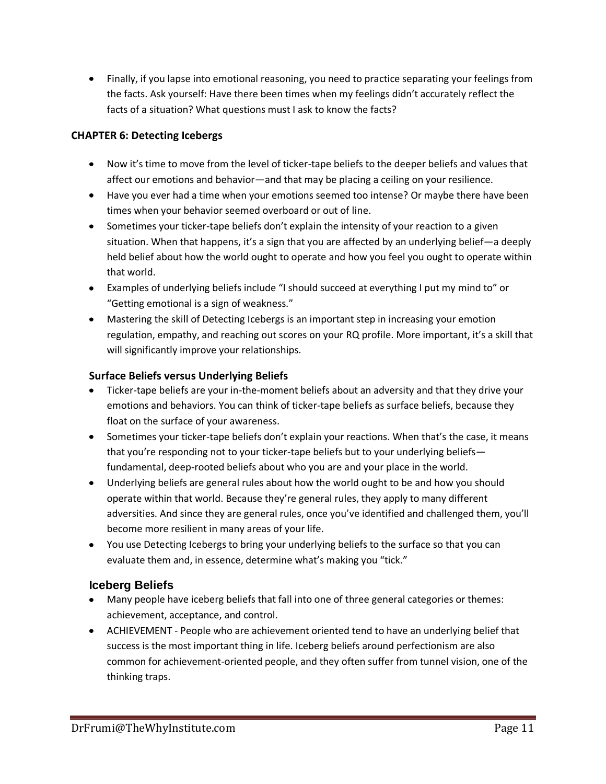Finally, if you lapse into emotional reasoning, you need to practice separating your feelings from the facts. Ask yourself: Have there been times when my feelings didn't accurately reflect the facts of a situation? What questions must I ask to know the facts?

# **CHAPTER 6: Detecting Icebergs**

- Now it's time to move from the level of ticker-tape beliefs to the deeper beliefs and values that affect our emotions and behavior—and that may be placing a ceiling on your resilience.
- Have you ever had a time when your emotions seemed too intense? Or maybe there have been times when your behavior seemed overboard or out of line.
- Sometimes your ticker-tape beliefs don't explain the intensity of your reaction to a given situation. When that happens, it's a sign that you are affected by an underlying belief—a deeply held belief about how the world ought to operate and how you feel you ought to operate within that world.
- Examples of underlying beliefs include "I should succeed at everything I put my mind to" or "Getting emotional is a sign of weakness."
- Mastering the skill of Detecting Icebergs is an important step in increasing your emotion regulation, empathy, and reaching out scores on your RQ profile. More important, it's a skill that will significantly improve your relationships.

# **Surface Beliefs versus Underlying Beliefs**

- Ticker-tape beliefs are your in-the-moment beliefs about an adversity and that they drive your emotions and behaviors. You can think of ticker-tape beliefs as surface beliefs, because they float on the surface of your awareness.
- Sometimes your ticker-tape beliefs don't explain your reactions. When that's the case, it means that you're responding not to your ticker-tape beliefs but to your underlying beliefs fundamental, deep-rooted beliefs about who you are and your place in the world.
- Underlying beliefs are general rules about how the world ought to be and how you should operate within that world. Because they're general rules, they apply to many different adversities. And since they are general rules, once you've identified and challenged them, you'll become more resilient in many areas of your life.
- You use Detecting Icebergs to bring your underlying beliefs to the surface so that you can evaluate them and, in essence, determine what's making you "tick."

# **Iceberg Beliefs**

- Many people have iceberg beliefs that fall into one of three general categories or themes: achievement, acceptance, and control.
- ACHIEVEMENT People who are achievement oriented tend to have an underlying belief that success is the most important thing in life. Iceberg beliefs around perfectionism are also common for achievement-oriented people, and they often suffer from tunnel vision, one of the thinking traps.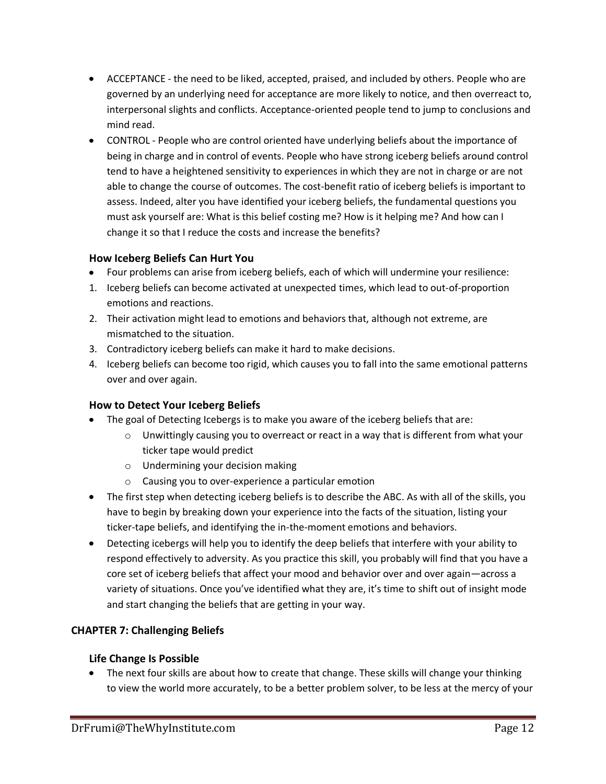- ACCEPTANCE the need to be liked, accepted, praised, and included by others. People who are governed by an underlying need for acceptance are more likely to notice, and then overreact to, interpersonal slights and conflicts. Acceptance-oriented people tend to jump to conclusions and mind read.
- CONTROL People who are control oriented have underlying beliefs about the importance of being in charge and in control of events. People who have strong iceberg beliefs around control tend to have a heightened sensitivity to experiences in which they are not in charge or are not able to change the course of outcomes. The cost-benefit ratio of iceberg beliefs is important to assess. Indeed, alter you have identified your iceberg beliefs, the fundamental questions you must ask yourself are: What is this belief costing me? How is it helping me? And how can I change it so that I reduce the costs and increase the benefits?

# **How Iceberg Beliefs Can Hurt You**

- Four problems can arise from iceberg beliefs, each of which will undermine your resilience:
- 1. Iceberg beliefs can become activated at unexpected times, which lead to out-of-proportion emotions and reactions.
- 2. Their activation might lead to emotions and behaviors that, although not extreme, are mismatched to the situation.
- 3. Contradictory iceberg beliefs can make it hard to make decisions.
- 4. Iceberg beliefs can become too rigid, which causes you to fall into the same emotional patterns over and over again.

# **How to Detect Your Iceberg Beliefs**

- The goal of Detecting Icebergs is to make you aware of the iceberg beliefs that are:
	- $\circ$  Unwittingly causing you to overreact or react in a way that is different from what your ticker tape would predict
	- o Undermining your decision making
	- o Causing you to over-experience a particular emotion
- The first step when detecting iceberg beliefs is to describe the ABC. As with all of the skills, you have to begin by breaking down your experience into the facts of the situation, listing your ticker-tape beliefs, and identifying the in-the-moment emotions and behaviors.
- Detecting icebergs will help you to identify the deep beliefs that interfere with your ability to respond effectively to adversity. As you practice this skill, you probably will find that you have a core set of iceberg beliefs that affect your mood and behavior over and over again—across a variety of situations. Once you've identified what they are, it's time to shift out of insight mode and start changing the beliefs that are getting in your way.

# **CHAPTER 7: Challenging Beliefs**

# **Life Change Is Possible**

• The next four skills are about how to create that change. These skills will change your thinking to view the world more accurately, to be a better problem solver, to be less at the mercy of your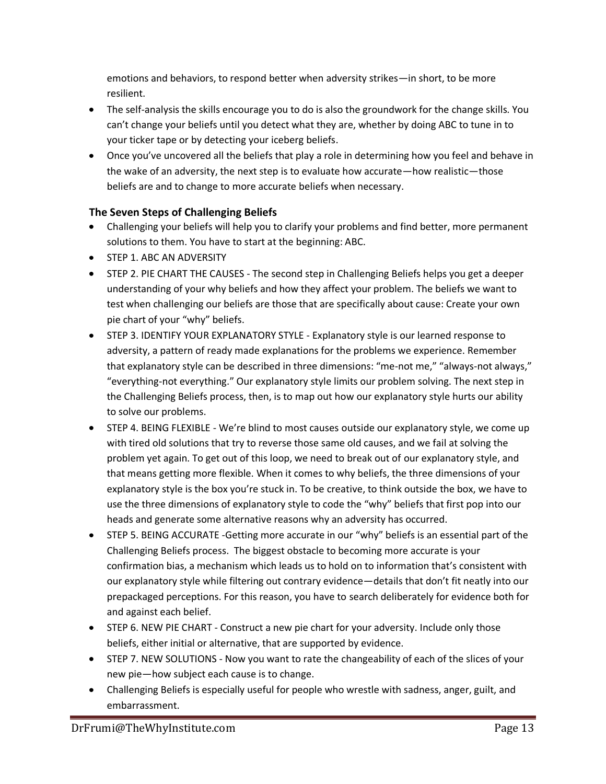emotions and behaviors, to respond better when adversity strikes—in short, to be more resilient.

- The self-analysis the skills encourage you to do is also the groundwork for the change skills. You can't change your beliefs until you detect what they are, whether by doing ABC to tune in to your ticker tape or by detecting your iceberg beliefs.
- Once you've uncovered all the beliefs that play a role in determining how you feel and behave in the wake of an adversity, the next step is to evaluate how accurate—how realistic—those beliefs are and to change to more accurate beliefs when necessary.

# **The Seven Steps of Challenging Beliefs**

- Challenging your beliefs will help you to clarify your problems and find better, more permanent solutions to them. You have to start at the beginning: ABC.
- **STEP 1. ABC AN ADVERSITY**
- STEP 2. PIE CHART THE CAUSES The second step in Challenging Beliefs helps you get a deeper understanding of your why beliefs and how they affect your problem. The beliefs we want to test when challenging our beliefs are those that are specifically about cause: Create your own pie chart of your "why" beliefs.
- STEP 3. IDENTIFY YOUR EXPLANATORY STYLE Explanatory style is our learned response to adversity, a pattern of ready made explanations for the problems we experience. Remember that explanatory style can be described in three dimensions: "me-not me," "always-not always," "everything-not everything." Our explanatory style limits our problem solving. The next step in the Challenging Beliefs process, then, is to map out how our explanatory style hurts our ability to solve our problems.
- STEP 4. BEING FLEXIBLE We're blind to most causes outside our explanatory style, we come up with tired old solutions that try to reverse those same old causes, and we fail at solving the problem yet again. To get out of this loop, we need to break out of our explanatory style, and that means getting more flexible. When it comes to why beliefs, the three dimensions of your explanatory style is the box you're stuck in. To be creative, to think outside the box, we have to use the three dimensions of explanatory style to code the "why" beliefs that first pop into our heads and generate some alternative reasons why an adversity has occurred.
- STEP 5. BEING ACCURATE -Getting more accurate in our "why" beliefs is an essential part of the Challenging Beliefs process. The biggest obstacle to becoming more accurate is your confirmation bias, a mechanism which leads us to hold on to information that's consistent with our explanatory style while filtering out contrary evidence—details that don't fit neatly into our prepackaged perceptions. For this reason, you have to search deliberately for evidence both for and against each belief.
- STEP 6. NEW PIE CHART Construct a new pie chart for your adversity. Include only those beliefs, either initial or alternative, that are supported by evidence.
- STEP 7. NEW SOLUTIONS Now you want to rate the changeability of each of the slices of your new pie—how subject each cause is to change.
- Challenging Beliefs is especially useful for people who wrestle with sadness, anger, guilt, and embarrassment.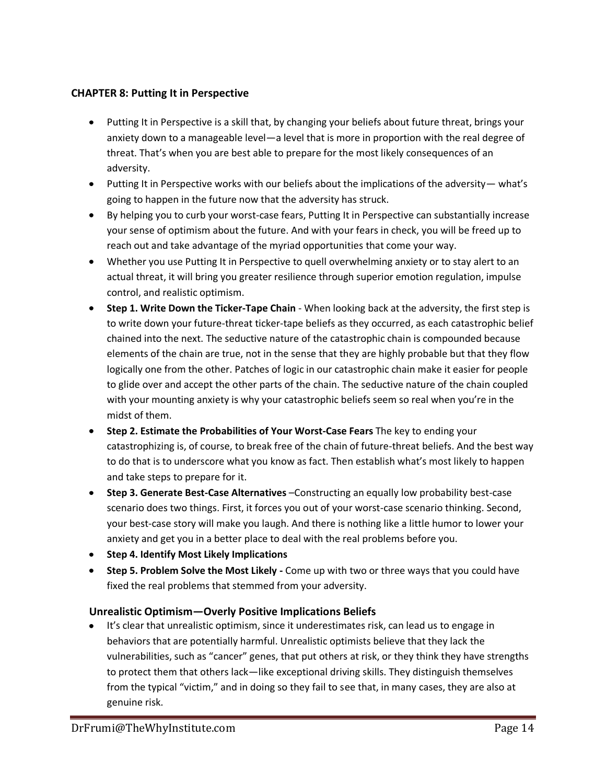#### **CHAPTER 8: Putting It in Perspective**

- Putting It in Perspective is a skill that, by changing your beliefs about future threat, brings your anxiety down to a manageable level—a level that is more in proportion with the real degree of threat. That's when you are best able to prepare for the most likely consequences of an adversity.
- Putting It in Perspective works with our beliefs about the implications of the adversity— what's going to happen in the future now that the adversity has struck.
- By helping you to curb your worst-case fears, Putting It in Perspective can substantially increase your sense of optimism about the future. And with your fears in check, you will be freed up to reach out and take advantage of the myriad opportunities that come your way.
- Whether you use Putting It in Perspective to quell overwhelming anxiety or to stay alert to an actual threat, it will bring you greater resilience through superior emotion regulation, impulse control, and realistic optimism.
- **Step 1. Write Down the Ticker-Tape Chain**  When looking back at the adversity, the first step is to write down your future-threat ticker-tape beliefs as they occurred, as each catastrophic belief chained into the next. The seductive nature of the catastrophic chain is compounded because elements of the chain are true, not in the sense that they are highly probable but that they flow logically one from the other. Patches of logic in our catastrophic chain make it easier for people to glide over and accept the other parts of the chain. The seductive nature of the chain coupled with your mounting anxiety is why your catastrophic beliefs seem so real when you're in the midst of them.
- **Step 2. Estimate the Probabilities of Your Worst-Case Fears** The key to ending your catastrophizing is, of course, to break free of the chain of future-threat beliefs. And the best way to do that is to underscore what you know as fact. Then establish what's most likely to happen and take steps to prepare for it.
- **Step 3. Generate Best-Case Alternatives** –Constructing an equally low probability best-case scenario does two things. First, it forces you out of your worst-case scenario thinking. Second, your best-case story will make you laugh. And there is nothing like a little humor to lower your anxiety and get you in a better place to deal with the real problems before you.
- **Step 4. Identify Most Likely Implications**
- **Step 5. Problem Solve the Most Likely -** Come up with two or three ways that you could have fixed the real problems that stemmed from your adversity.

# **Unrealistic Optimism—Overly Positive Implications Beliefs**

It's clear that unrealistic optimism, since it underestimates risk, can lead us to engage in behaviors that are potentially harmful. Unrealistic optimists believe that they lack the vulnerabilities, such as "cancer" genes, that put others at risk, or they think they have strengths to protect them that others lack—like exceptional driving skills. They distinguish themselves from the typical "victim," and in doing so they fail to see that, in many cases, they are also at genuine risk.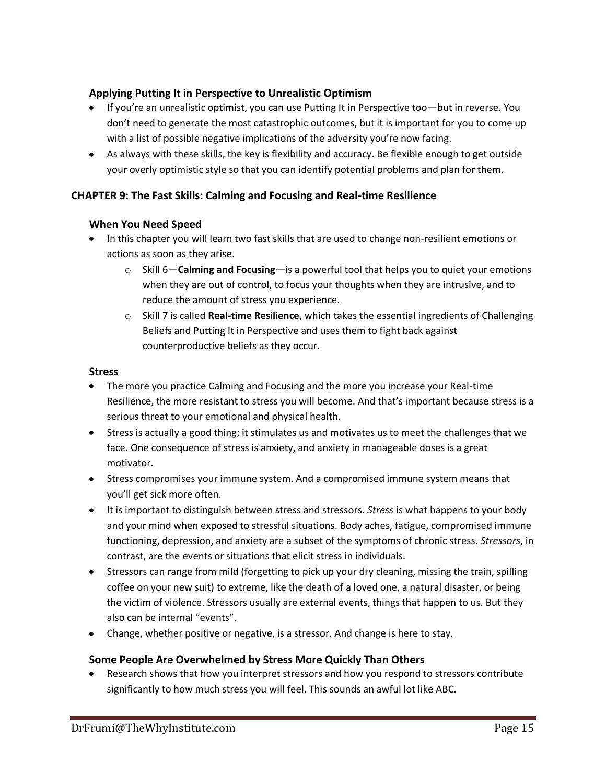#### **Applying Putting It in Perspective to Unrealistic Optimism**

- If you're an unrealistic optimist, you can use Putting It in Perspective too—but in reverse. You don't need to generate the most catastrophic outcomes, but it is important for you to come up with a list of possible negative implications of the adversity you're now facing.
- As always with these skills, the key is flexibility and accuracy. Be flexible enough to get outside your overly optimistic style so that you can identify potential problems and plan for them.

#### **CHAPTER 9: The Fast Skills: Calming and Focusing and Real-time Resilience**

#### **When You Need Speed**

- In this chapter you will learn two fast skills that are used to change non-resilient emotions or actions as soon as they arise.
	- o Skill 6—**Calming and Focusing**—is a powerful tool that helps you to quiet your emotions when they are out of control, to focus your thoughts when they are intrusive, and to reduce the amount of stress you experience.
	- o Skill 7 is called **Real-time Resilience**, which takes the essential ingredients of Challenging Beliefs and Putting It in Perspective and uses them to fight back against counterproductive beliefs as they occur.

#### **Stress**

- The more you practice Calming and Focusing and the more you increase your Real-time Resilience, the more resistant to stress you will become. And that's important because stress is a serious threat to your emotional and physical health.
- Stress is actually a good thing; it stimulates us and motivates us to meet the challenges that we face. One consequence of stress is anxiety, and anxiety in manageable doses is a great motivator.
- Stress compromises your immune system. And a compromised immune system means that you'll get sick more often.
- **It is important to distinguish between stress and stressors.** *Stress* **is what happens to your body** and your mind when exposed to stressful situations. Body aches, fatigue, compromised immune functioning, depression, and anxiety are a subset of the symptoms of chronic stress. *Stressors*, in contrast, are the events or situations that elicit stress in individuals.
- Stressors can range from mild (forgetting to pick up your dry cleaning, missing the train, spilling coffee on your new suit) to extreme, like the death of a loved one, a natural disaster, or being the victim of violence. Stressors usually are external events, things that happen to us. But they also can be internal "events".
- Change, whether positive or negative, is a stressor. And change is here to stay.

#### **Some People Are Overwhelmed by Stress More Quickly Than Others**

Research shows that how you interpret stressors and how you respond to stressors contribute significantly to how much stress you will feel. This sounds an awful lot like ABC.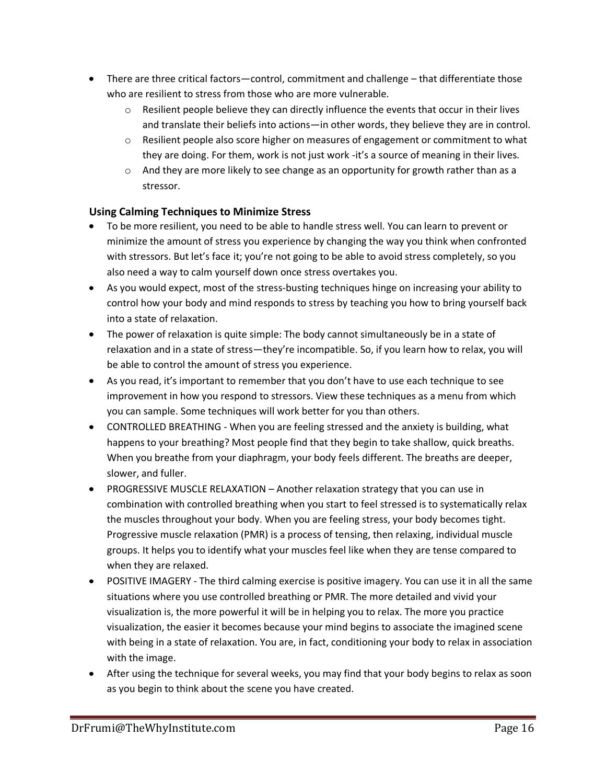- There are three critical factors—control, commitment and challenge that differentiate those who are resilient to stress from those who are more vulnerable.
	- $\circ$  Resilient people believe they can directly influence the events that occur in their lives and translate their beliefs into actions—in other words, they believe they are in control.
	- $\circ$  Resilient people also score higher on measures of engagement or commitment to what they are doing. For them, work is not just work -it's a source of meaning in their lives.
	- $\circ$  And they are more likely to see change as an opportunity for growth rather than as a stressor.

# **Using Calming Techniques to Minimize Stress**

- To be more resilient, you need to be able to handle stress well. You can learn to prevent or minimize the amount of stress you experience by changing the way you think when confronted with stressors. But let's face it; you're not going to be able to avoid stress completely, so you also need a way to calm yourself down once stress overtakes you.
- As you would expect, most of the stress-busting techniques hinge on increasing your ability to control how your body and mind responds to stress by teaching you how to bring yourself back into a state of relaxation.
- The power of relaxation is quite simple: The body cannot simultaneously be in a state of relaxation and in a state of stress—they're incompatible. So, if you learn how to relax, you will be able to control the amount of stress you experience.
- As you read, it's important to remember that you don't have to use each technique to see improvement in how you respond to stressors. View these techniques as a menu from which you can sample. Some techniques will work better for you than others.
- CONTROLLED BREATHING When you are feeling stressed and the anxiety is building, what happens to your breathing? Most people find that they begin to take shallow, quick breaths. When you breathe from your diaphragm, your body feels different. The breaths are deeper, slower, and fuller.
- PROGRESSIVE MUSCLE RELAXATION Another relaxation strategy that you can use in combination with controlled breathing when you start to feel stressed is to systematically relax the muscles throughout your body. When you are feeling stress, your body becomes tight. Progressive muscle relaxation (PMR) is a process of tensing, then relaxing, individual muscle groups. It helps you to identify what your muscles feel like when they are tense compared to when they are relaxed.
- POSITIVE IMAGERY The third calming exercise is positive imagery. You can use it in all the same situations where you use controlled breathing or PMR. The more detailed and vivid your visualization is, the more powerful it will be in helping you to relax. The more you practice visualization, the easier it becomes because your mind begins to associate the imagined scene with being in a state of relaxation. You are, in fact, conditioning your body to relax in association with the image.
- After using the technique for several weeks, you may find that your body begins to relax as soon as you begin to think about the scene you have created.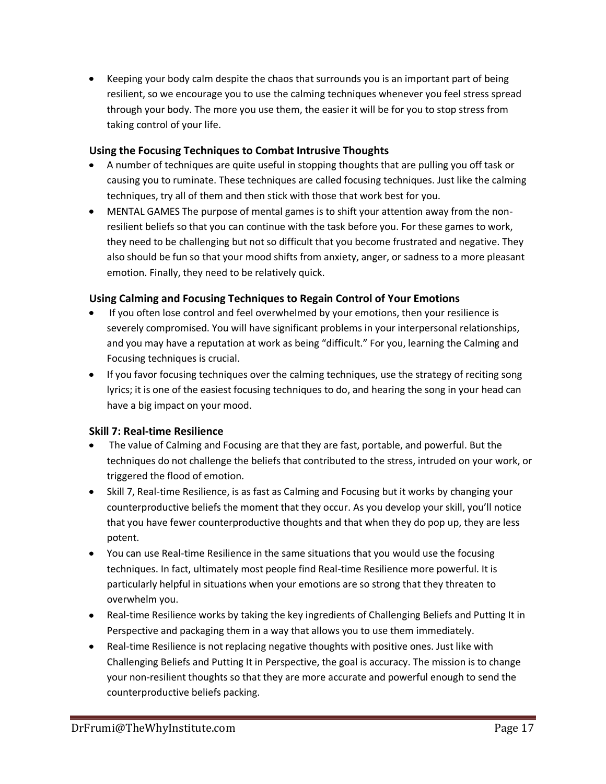Keeping your body calm despite the chaos that surrounds you is an important part of being resilient, so we encourage you to use the calming techniques whenever you feel stress spread through your body. The more you use them, the easier it will be for you to stop stress from taking control of your life.

#### **Using the Focusing Techniques to Combat Intrusive Thoughts**

- A number of techniques are quite useful in stopping thoughts that are pulling you off task or causing you to ruminate. These techniques are called focusing techniques. Just like the calming techniques, try all of them and then stick with those that work best for you.
- MENTAL GAMES The purpose of mental games is to shift your attention away from the nonresilient beliefs so that you can continue with the task before you. For these games to work, they need to be challenging but not so difficult that you become frustrated and negative. They also should be fun so that your mood shifts from anxiety, anger, or sadness to a more pleasant emotion. Finally, they need to be relatively quick.

#### **Using Calming and Focusing Techniques to Regain Control of Your Emotions**

- If you often lose control and feel overwhelmed by your emotions, then your resilience is severely compromised. You will have significant problems in your interpersonal relationships, and you may have a reputation at work as being "difficult." For you, learning the Calming and Focusing techniques is crucial.
- If you favor focusing techniques over the calming techniques, use the strategy of reciting song lyrics; it is one of the easiest focusing techniques to do, and hearing the song in your head can have a big impact on your mood.

#### **Skill 7: Real-time Resilience**

- The value of Calming and Focusing are that they are fast, portable, and powerful. But the techniques do not challenge the beliefs that contributed to the stress, intruded on your work, or triggered the flood of emotion.
- Skill 7, Real-time Resilience, is as fast as Calming and Focusing but it works by changing your counterproductive beliefs the moment that they occur. As you develop your skill, you'll notice that you have fewer counterproductive thoughts and that when they do pop up, they are less potent.
- You can use Real-time Resilience in the same situations that you would use the focusing techniques. In fact, ultimately most people find Real-time Resilience more powerful. It is particularly helpful in situations when your emotions are so strong that they threaten to overwhelm you.
- Real-time Resilience works by taking the key ingredients of Challenging Beliefs and Putting It in Perspective and packaging them in a way that allows you to use them immediately.
- Real-time Resilience is not replacing negative thoughts with positive ones. Just like with Challenging Beliefs and Putting It in Perspective, the goal is accuracy. The mission is to change your non-resilient thoughts so that they are more accurate and powerful enough to send the counterproductive beliefs packing.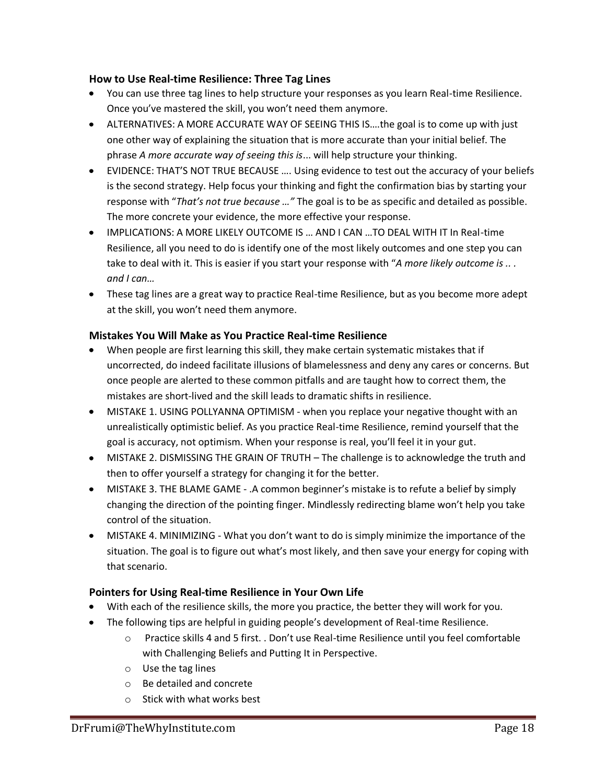#### **How to Use Real-time Resilience: Three Tag Lines**

- You can use three tag lines to help structure your responses as you learn Real-time Resilience. Once you've mastered the skill, you won't need them anymore.
- ALTERNATIVES: A MORE ACCURATE WAY OF SEEING THIS IS….the goal is to come up with just one other way of explaining the situation that is more accurate than your initial belief. The phrase *A more accurate way of seeing this is*... will help structure your thinking.
- EVIDENCE: THAT'S NOT TRUE BECAUSE …. Using evidence to test out the accuracy of your beliefs is the second strategy. Help focus your thinking and fight the confirmation bias by starting your response with "*That's not true because …"* The goal is to be as specific and detailed as possible. The more concrete your evidence, the more effective your response.
- IMPLICATIONS: A MORE LIKELY OUTCOME IS … AND I CAN …TO DEAL WITH IT In Real-time Resilience, all you need to do is identify one of the most likely outcomes and one step you can take to deal with it. This is easier if you start your response with "*A more likely outcome is .. . and I can…*
- These tag lines are a great way to practice Real-time Resilience, but as you become more adept at the skill, you won't need them anymore.

#### **Mistakes You Will Make as You Practice Real-time Resilience**

- When people are first learning this skill, they make certain systematic mistakes that if uncorrected, do indeed facilitate illusions of blamelessness and deny any cares or concerns. But once people are alerted to these common pitfalls and are taught how to correct them, the mistakes are short-lived and the skill leads to dramatic shifts in resilience.
- MISTAKE 1. USING POLLYANNA OPTIMISM when you replace your negative thought with an unrealistically optimistic belief. As you practice Real-time Resilience, remind yourself that the goal is accuracy, not optimism. When your response is real, you'll feel it in your gut.
- MISTAKE 2. DISMISSING THE GRAIN OF TRUTH The challenge is to acknowledge the truth and then to offer yourself a strategy for changing it for the better.
- MISTAKE 3. THE BLAME GAME .A common beginner's mistake is to refute a belief by simply changing the direction of the pointing finger. Mindlessly redirecting blame won't help you take control of the situation.
- MISTAKE 4. MINIMIZING What you don't want to do is simply minimize the importance of the situation. The goal is to figure out what's most likely, and then save your energy for coping with that scenario.

#### **Pointers for Using Real-time Resilience in Your Own Life**

- With each of the resilience skills, the more you practice, the better they will work for you.
- The following tips are helpful in guiding people's development of Real-time Resilience.
	- o Practice skills 4 and 5 first. . Don't use Real-time Resilience until you feel comfortable with Challenging Beliefs and Putting It in Perspective.
	- o Use the tag lines
	- o Be detailed and concrete
	- o Stick with what works best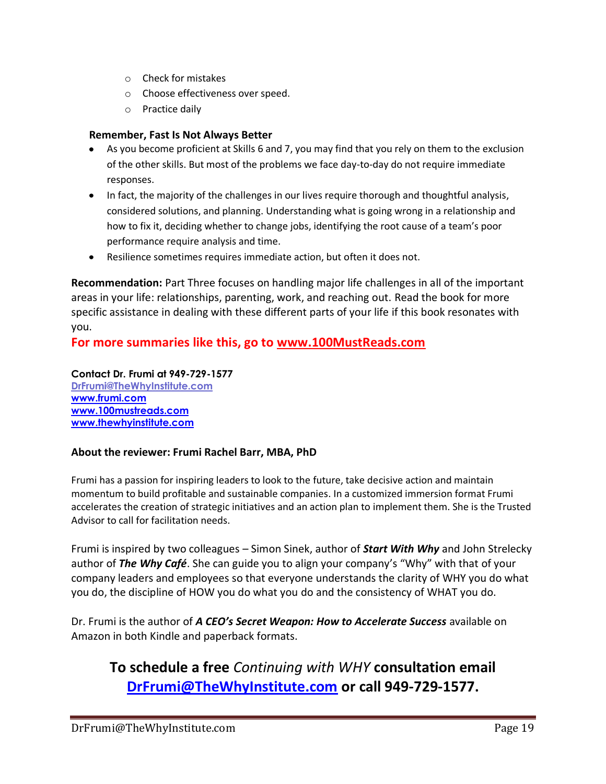- o Check for mistakes
- o Choose effectiveness over speed.
- o Practice daily

# **Remember, Fast Is Not Always Better**

- As you become proficient at Skills 6 and 7, you may find that you rely on them to the exclusion of the other skills. But most of the problems we face day-to-day do not require immediate responses.
- In fact, the majority of the challenges in our lives require thorough and thoughtful analysis, considered solutions, and planning. Understanding what is going wrong in a relationship and how to fix it, deciding whether to change jobs, identifying the root cause of a team's poor performance require analysis and time.
- Resilience sometimes requires immediate action, but often it does not.  $\bullet$

**Recommendation:** Part Three focuses on handling major life challenges in all of the important areas in your life: relationships, parenting, work, and reaching out. Read the book for more specific assistance in dealing with these different parts of your life if this book resonates with you.

# **For more summaries like this, go to [www.100MustReads.com](http://www.100mustreads.com/)**

**Contact Dr. Frumi at 949-729-1577 [DrFrumi@TheWhyInstitute.com](mailto:ceoconfidante@frumi.com) [www.frumi.com](http://www.frumi.com/) [www.100mustreads.com](http://www.100mustreads.com/) www.thewhyinstitute.com**

# **About the reviewer: Frumi Rachel Barr, MBA, PhD**

Frumi has a passion for inspiring leaders to look to the future, take decisive action and maintain momentum to build profitable and sustainable companies. In a customized immersion format Frumi accelerates the creation of strategic initiatives and an action plan to implement them. She is the Trusted Advisor to call for facilitation needs.

Frumi is inspired by two colleagues – Simon Sinek, author of *Start With Why* and John Strelecky author of *The Why Café*. She can guide you to align your company's "Why" with that of your company leaders and employees so that everyone understands the clarity of WHY you do what you do, the discipline of HOW you do what you do and the consistency of WHAT you do.

Dr. Frumi is the author of *A CEO's Secret Weapon: How to Accelerate Success* available on Amazon in both Kindle and paperback formats.

# **To schedule a free** *Continuing with WHY* **consultation email [DrFrumi@TheWhyInstitute.com](mailto:DrFrumi@TheWhyInstitute.com) or call 949-729-1577.**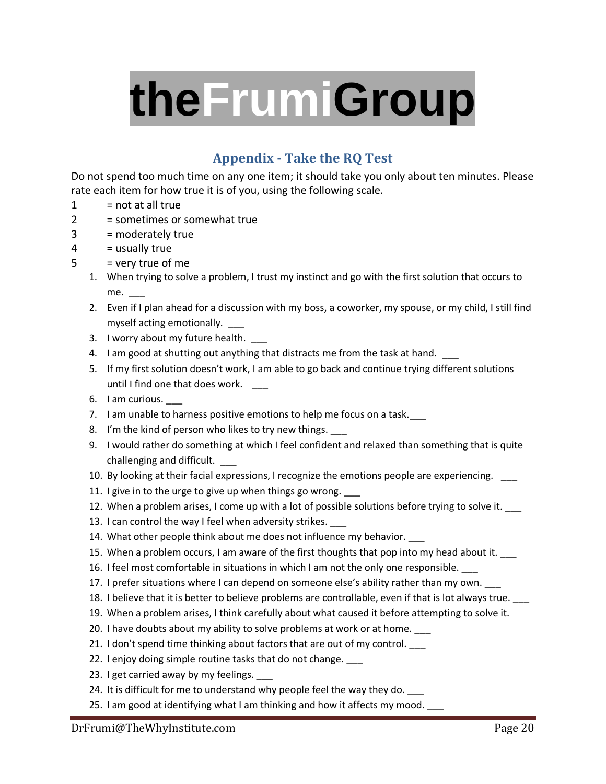# **theFrumiGroup**

# **Appendix - Take the RQ Test**

Do not spend too much time on any one item; it should take you only about ten minutes. Please rate each item for how true it is of you, using the following scale.

- $1 = not at all true$
- 2 = sometimes or somewhat true
- 3 = moderately true
- $4 =$  usually true
- 5 = very true of me
	- 1. When trying to solve a problem, I trust my instinct and go with the first solution that occurs to me. \_\_\_
	- 2. Even if I plan ahead for a discussion with my boss, a coworker, my spouse, or my child, I still find myself acting emotionally.
	- 3. I worry about my future health.
	- 4. I am good at shutting out anything that distracts me from the task at hand.
	- 5. If my first solution doesn't work, I am able to go back and continue trying different solutions until I find one that does work.
	- 6. I am curious.
	- 7. I am unable to harness positive emotions to help me focus on a task.
	- 8. I'm the kind of person who likes to try new things.
	- 9. I would rather do something at which I feel confident and relaxed than something that is quite challenging and difficult.
	- 10. By looking at their facial expressions, I recognize the emotions people are experiencing.
	- 11. I give in to the urge to give up when things go wrong.
	- 12. When a problem arises, I come up with a lot of possible solutions before trying to solve it. \_\_\_
	- 13. I can control the way I feel when adversity strikes.
	- 14. What other people think about me does not influence my behavior.
	- 15. When a problem occurs, I am aware of the first thoughts that pop into my head about it.
	- 16. I feel most comfortable in situations in which I am not the only one responsible.
	- 17. I prefer situations where I can depend on someone else's ability rather than my own.
	- 18. I believe that it is better to believe problems are controllable, even if that is lot always true. \_\_\_
	- 19. When a problem arises, I think carefully about what caused it before attempting to solve it.
	- 20. I have doubts about my ability to solve problems at work or at home.
	- 21. I don't spend time thinking about factors that are out of my control.
	- 22. I enjoy doing simple routine tasks that do not change.
	- 23. I get carried away by my feelings.
	- 24. It is difficult for me to understand why people feel the way they do. \_\_\_
	- 25. I am good at identifying what I am thinking and how it affects my mood.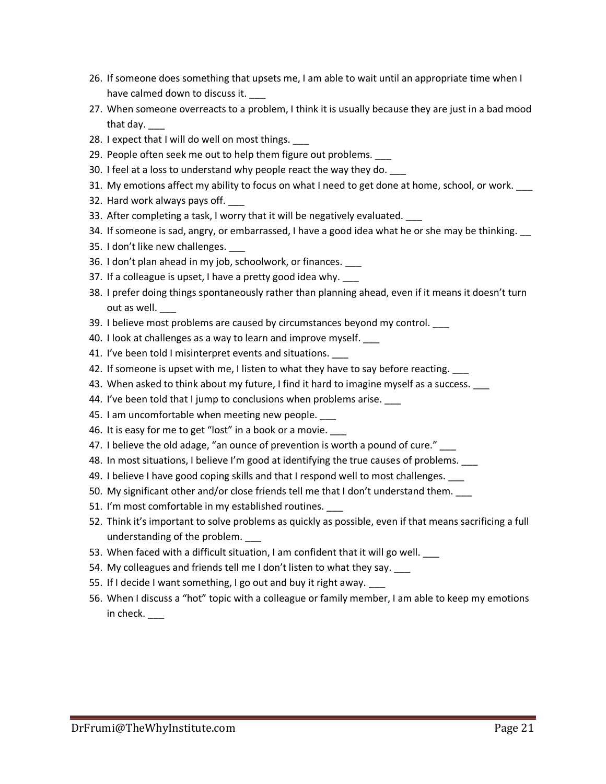- 26. If someone does something that upsets me, I am able to wait until an appropriate time when I have calmed down to discuss it.
- 27. When someone overreacts to a problem, I think it is usually because they are just in a bad mood that day.
- 28. I expect that I will do well on most things.
- 29. People often seek me out to help them figure out problems.
- 30. I feel at a loss to understand why people react the way they do.
- 31. My emotions affect my ability to focus on what I need to get done at home, school, or work.
- 32. Hard work always pays off.
- 33. After completing a task, I worry that it will be negatively evaluated.
- 34. If someone is sad, angry, or embarrassed, I have a good idea what he or she may be thinking.
- 35. I don't like new challenges.
- 36. I don't plan ahead in my job, schoolwork, or finances.
- 37. If a colleague is upset, I have a pretty good idea why. \_\_\_
- 38. I prefer doing things spontaneously rather than planning ahead, even if it means it doesn't turn out as well.
- 39. I believe most problems are caused by circumstances beyond my control.
- 40. I look at challenges as a way to learn and improve myself.
- 41. I've been told I misinterpret events and situations.
- 42. If someone is upset with me, I listen to what they have to say before reacting.
- 43. When asked to think about my future, I find it hard to imagine myself as a success.
- 44. I've been told that I jump to conclusions when problems arise.
- 45. I am uncomfortable when meeting new people.
- 46. It is easy for me to get "lost" in a book or a movie.
- 47. I believe the old adage, "an ounce of prevention is worth a pound of cure."
- 48. In most situations, I believe I'm good at identifying the true causes of problems.
- 49. I believe I have good coping skills and that I respond well to most challenges. \_\_\_
- 50. My significant other and/or close friends tell me that I don't understand them.
- 51. I'm most comfortable in my established routines.
- 52. Think it's important to solve problems as quickly as possible, even if that means sacrificing a full understanding of the problem. \_\_\_
- 53. When faced with a difficult situation, I am confident that it will go well. \_\_\_
- 54. My colleagues and friends tell me I don't listen to what they say.
- 55. If I decide I want something, I go out and buy it right away. \_\_\_
- 56. When I discuss a "hot" topic with a colleague or family member, I am able to keep my emotions in check.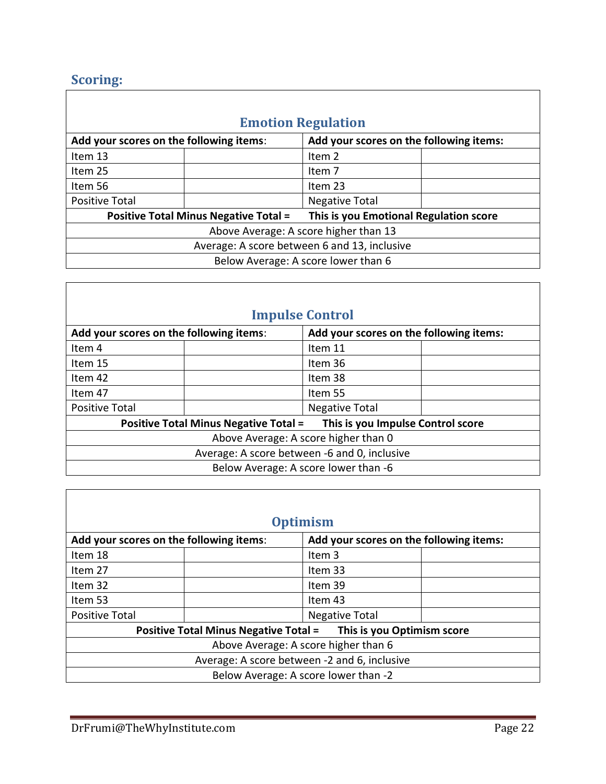# **Scoring:**

 $\overline{\phantom{a}}$ 

| <b>Emotion Regulation</b>                                                              |  |                                         |  |
|----------------------------------------------------------------------------------------|--|-----------------------------------------|--|
| Add your scores on the following items:                                                |  | Add your scores on the following items: |  |
| Item 13                                                                                |  | Item 2                                  |  |
| Item 25                                                                                |  | Item 7                                  |  |
| Item 56                                                                                |  | Item 23                                 |  |
| Positive Total                                                                         |  | Negative Total                          |  |
| <b>Positive Total Minus Negative Total =</b><br>This is you Emotional Regulation score |  |                                         |  |
| Above Average: A score higher than 13                                                  |  |                                         |  |
| Average: A score between 6 and 13, inclusive                                           |  |                                         |  |
| Below Average: A score lower than 6                                                    |  |                                         |  |

| <b>Impulse Control</b>                                                            |  |                                         |  |
|-----------------------------------------------------------------------------------|--|-----------------------------------------|--|
| Add your scores on the following items:                                           |  | Add your scores on the following items: |  |
| Item 4                                                                            |  | Item 11                                 |  |
| Item 15                                                                           |  | Item 36                                 |  |
| Item 42                                                                           |  | Item 38                                 |  |
| Item 47                                                                           |  | Item 55                                 |  |
| <b>Positive Total</b>                                                             |  | Negative Total                          |  |
| This is you Impulse Control score<br><b>Positive Total Minus Negative Total =</b> |  |                                         |  |
| Above Average: A score higher than 0                                              |  |                                         |  |
| Average: A score between -6 and 0, inclusive                                      |  |                                         |  |
| Below Average: A score lower than -6                                              |  |                                         |  |

| <b>Optimism</b>                                                            |  |                                         |  |
|----------------------------------------------------------------------------|--|-----------------------------------------|--|
| Add your scores on the following items:                                    |  | Add your scores on the following items: |  |
| Item 18                                                                    |  | Item 3                                  |  |
| Item 27                                                                    |  | Item 33                                 |  |
| Item 32                                                                    |  | Item 39                                 |  |
| Item 53                                                                    |  | Item 43                                 |  |
| Positive Total                                                             |  | <b>Negative Total</b>                   |  |
| <b>Positive Total Minus Negative Total =</b><br>This is you Optimism score |  |                                         |  |
| Above Average: A score higher than 6                                       |  |                                         |  |
| Average: A score between -2 and 6, inclusive                               |  |                                         |  |
| Below Average: A score lower than -2                                       |  |                                         |  |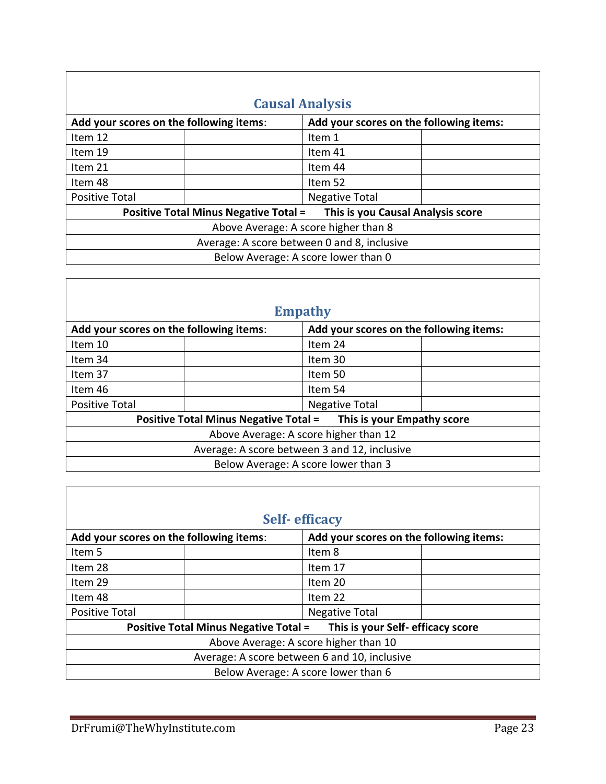| <b>Causal Analysis</b>                                                            |  |                                         |  |
|-----------------------------------------------------------------------------------|--|-----------------------------------------|--|
| Add your scores on the following items:                                           |  | Add your scores on the following items: |  |
| Item 12                                                                           |  | Item 1                                  |  |
| Item 19                                                                           |  | Item 41                                 |  |
| Item 21                                                                           |  | Item 44                                 |  |
| Item 48                                                                           |  | Item 52                                 |  |
| Positive Total                                                                    |  | <b>Negative Total</b>                   |  |
| This is you Causal Analysis score<br><b>Positive Total Minus Negative Total =</b> |  |                                         |  |
| Above Average: A score higher than 8                                              |  |                                         |  |
| Average: A score between 0 and 8, inclusive                                       |  |                                         |  |
| Below Average: A score lower than 0                                               |  |                                         |  |

| <b>Empathy</b>                                                             |  |                                         |  |
|----------------------------------------------------------------------------|--|-----------------------------------------|--|
| Add your scores on the following items:                                    |  | Add your scores on the following items: |  |
| Item 10                                                                    |  | Item 24                                 |  |
| Item 34                                                                    |  | Item 30                                 |  |
| Item 37                                                                    |  | Item 50                                 |  |
| Item 46                                                                    |  | Item 54                                 |  |
| <b>Positive Total</b>                                                      |  | <b>Negative Total</b>                   |  |
| <b>Positive Total Minus Negative Total =</b><br>This is your Empathy score |  |                                         |  |
| Above Average: A score higher than 12                                      |  |                                         |  |
| Average: A score between 3 and 12, inclusive                               |  |                                         |  |
| Below Average: A score lower than 3                                        |  |                                         |  |

| <b>Self-</b> efficacy                                                             |  |                                         |  |
|-----------------------------------------------------------------------------------|--|-----------------------------------------|--|
| Add your scores on the following items:                                           |  | Add your scores on the following items: |  |
| Item 5                                                                            |  | Item 8                                  |  |
| Item 28                                                                           |  | Item 17                                 |  |
| Item 29                                                                           |  | Item 20                                 |  |
| Item 48                                                                           |  | Item 22                                 |  |
| <b>Positive Total</b>                                                             |  | <b>Negative Total</b>                   |  |
| <b>Positive Total Minus Negative Total =</b><br>This is your Self- efficacy score |  |                                         |  |
| Above Average: A score higher than 10                                             |  |                                         |  |
| Average: A score between 6 and 10, inclusive                                      |  |                                         |  |
| Below Average: A score lower than 6                                               |  |                                         |  |